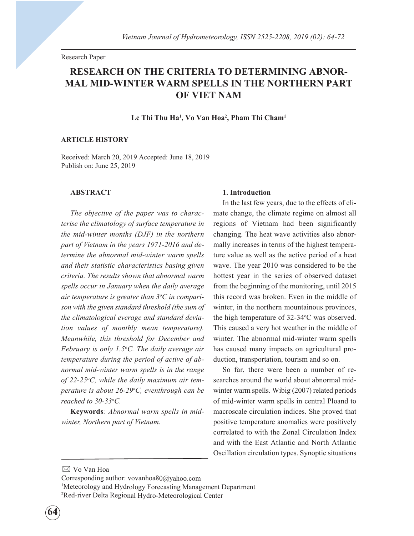Research Paper

# RESEARCH ON THE CRITERIA TO DETERMINING ABNOR-MAL MID-WINTER WARM SPELLS IN THE NORTHERN PART OF VIET NAM

Le Thi Thu Ha<sup>1</sup>, Vo Van Hoa<sup>2</sup>, Pham Thi Cham<sup>1</sup>

### ARTICLE HISTORY

Received: March 20, 2019 Accepted: June 18, 2019 Publish on: June 25, 2019

#### ABSTRACT

The objective of the paper was to characterise the climatology of surface temperature in the mid-winter months (DJF) in the northern part of Vietnam in the years 1971-2016 and determine the abnormal mid-winter warm spells and their statistic characteristics basing given criteria. The results shown that abnormal warm spells occur in January when the daily average air temperature is greater than  $3^{\circ}C$  in comparison with the given standard threshold (the sum of the climatological everage and standard deviation values of monthly mean temperature). Meanwhile, this threshold for December and February is only 1.5°C. The daily average air temperature during the period of active of abnormal mid-winter warm spells is in the range of 22-25 $\mathrm{^o}$ C, while the daily maximum air temperature is about 26-29°C, eventhrough can be reached to 30-33°C.

Keywords: Abnormal warm spells in midwinter, Northern part of Vietnam.

#### 1. Introduction

In the last few years, due to the effects of climate change, the climate regime on almost all regions of Vietnam had been significantly changing. The heat wave activities also abnormally increases in terms of the highest temperature value as well as the active period of a heat wave. The year 2010 was considered to be the hottest year in the series of observed dataset from the beginning of the monitoring, until 2015 this record was broken. Even in the middle of winter, in the northern mountainous provinces, the high temperature of 32-34°C was observed. This caused a very hot weather in the middle of winter. The abnormal mid-winter warm spells has caused many impacts on agricultural production, transportation, tourism and so on.

So far, there were been a number of researches around the world about abnormal midwinter warm spells. Wibig (2007) related periods of mid-winter warm spells in central Ploand to macroscale circulation indices. She proved that positive temperature anomalies were positively correlated to with the Zonal Circulation Index and with the East Atlantic and North Atlantic Oscillation circulation types. Synoptic situations

Corresponding author: vovanhoa80@yahoo.com 1 Meteorology and Hydrology Forecasting Management Department 2 Red-river Delta Regional Hydro-Meteorological Center

 $\boxtimes$  Vo Van Hoa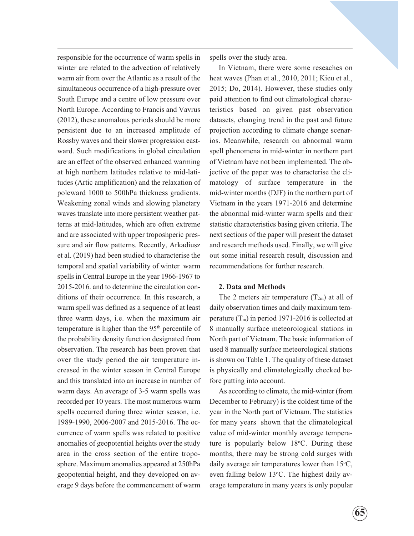responsible for the occurrence of warm spells in winter are related to the advection of relatively warm air from over the Atlantic as a result of the simultaneous occurrence of a high-pressure over South Europe and a centre of low pressure over North Europe. According to Francis and Vavrus (2012), these anomalous periods should be more persistent due to an increased amplitude of Rossby waves and their slower progression eastward. Such modifications in global circulation are an effect of the observed enhanced warming at high northern latitudes relative to mid-latitudes (Artic amplification) and the relaxation of poleward 1000 to 500hPa thickness gradients. Weakening zonal winds and slowing planetary waves translate into more persistent weather patterns at mid-latitudes, which are often extreme and are associated with upper troposhperic pressure and air flow patterns. Recently, Arkadiusz et al. (2019) had been studied to characterise the temporal and spatial variability of winter warm spells in Central Europe in the year 1966-1967 to 2015-2016. and to determine the circulation conditions of their occurrence. In this research, a warm spell was defined as a sequence of at least three warm days, i.e. when the maximum air temperature is higher than the 95<sup>th</sup> percentile of the probability density function designated from observation. The research has been proven that over the study period the air temperature increased in the winter season in Central Europe and this translated into an increase in number of warm days. An average of 3-5 warm spells was recorded per 10 years. The most numerous warm spells occurred during three winter season, i.e. 1989-1990, 2006-2007 and 2015-2016. The occurrence of warm spells was related to positive anomalies of geopotential heights over the study area in the cross section of the entire troposphere. Maximum anomalies appeared at 250hPa geopotential height, and they developed on average 9 days before the commencement of warm

spells over the study area.

In Vietnam, there were some reseaches on heat waves (Phan et al., 2010, 2011; Kieu et al., 2015; Do, 2014). However, these studies only paid attention to find out climatological characteristics based on given past observation datasets, changing trend in the past and future projection according to climate change scenarios. Meanwhile, research on abnormal warm spell phenomena in mid-winter in northern part of Vietnam have not been implemented. The objective of the paper was to characterise the climatology of surface temperature in the mid-winter months (DJF) in the northern part of Vietnam in the years 1971-2016 and determine the abnormal mid-winter warm spells and their statistic characteristics basing given criteria. The next sections of the paper will present the dataset and research methods used. Finally, we will give out some initial research result, discussion and recommendations for further research.

#### 2. Data and Methods

The 2 meters air temperature  $(T_{2m})$  at all of daily observation times and daily maximum temperature  $(T_m)$  in period 1971-2016 is collected at 8 manually surface meteorological stations in North part of Vietnam. The basic information of used 8 manually surface meteorological stations is shown on Table 1. The quality of these dataset is physically and climatologically checked before putting into account.

As according to climate, the mid-winter (from December to February) is the coldest time of the year in the North part of Vietnam. The statistics for many years shown that the climatological value of mid-winter monthly average temperature is popularly below  $18^{\circ}$ C. During these months, there may be strong cold surges with daily average air temperatures lower than  $15^{\circ}$ C, even falling below 13°C. The highest daily average temperature in many years is only popular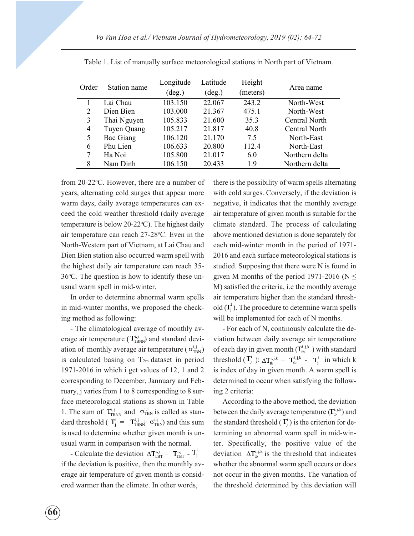| Order | Station name | Longitude<br>$(\text{deg.})$ | Latitude<br>$(\text{deg.})$ | Height<br>(meters) | Area name      |  |
|-------|--------------|------------------------------|-----------------------------|--------------------|----------------|--|
|       | Lai Chau     | 103.150                      | 22.067                      | 243.2              | North-West     |  |
| 2     | Dien Bien    | 103.000                      | 21.367                      | 475.1              | North-West     |  |
| 3     | Thai Nguyen  | 105.833                      | 21.600                      | 35.3               | Central North  |  |
| 4     | Tuyen Quang  | 105.217                      | 21.817                      | 40.8               | Central North  |  |
| 5     | Bac Giang    | 106.120                      | 21.170                      | 7.5                | North-East     |  |
| 6     | Phu Lien     | 106.633                      | 20.800                      | 112.4              | North-East     |  |
|       | Ha Noi       | 105.800                      | 21.017                      | 6.0                | Northern delta |  |
| 8     | Nam Dinh     | 106.150                      | 20.433                      | 1.9                | Northern delta |  |

Table 1. List of manually surface meteorological stations in North part of Vietnam.

from 20-22 °C. However, there are a number of years, alternating cold surges that appear more warm days, daily average temperatures can exceed the cold weather threshold (daily average temperature is below 20-22°C). The highest daily air temperature can reach 27-28 °C. Even in the North-Western part of Vietnam, at Lai Chau and Dien Bien station also occurred warm spell with the highest daily air temperature can reach 35- 36°C. The question is how to identify these unusual warm spell in mid-winter.

In order to determine abnormal warm spells in mid-winter months, we proposed the checking method as following:

- The climatological average of monthly average air temperature ( $T_{\text{TBNN}}^{i,j}$ ) and standard deviation of monthly average air temperature ( $\sigma_{\text{TBN}}^{i,j}$ ) is calculated basing on  $T_{2m}$  dataset in period 1971-2016 in which i get values of 12, 1 and 2 corresponding to December, Jannuary and February, j varies from 1 to 8 corresponding to 8 surface meteorological stations as shown in Table 1. The sum of  $T_{\text{IBNN}}^{i,j}$  and  $\sigma_{\text{TBN}}^{i,j}$  is called as standard threshold ( $T_j^i = T_{TBNN}^{i,j} \sigma_{TBN}^{i,j}$ ) and this sum is used to determine whether given month is unusual warm in comparison with the normal.

- Calculate the deviation  $\Delta T_{\text{TBT}}^{i,j} = T_{\text{TBT}}^{i,j} - T_{j}^{i}$ if the deviation is positive, then the monthly average air temperature of given month is considered warmer than the climate. In other words,

there is the possibility of warm spells alternating with cold surges. Conversely, if the deviation is negative, it indicates that the monthly average air temperature of given month is suitable for the climate standard. The process of calculating above mentioned deviation is done separately for each mid-winter month in the period of 1971- 2016 and each surface meteorological stations is studied. Supposing that there were N is found in given M months of the period 1971-2016 ( $N \leq$ M) satisfied the criteria, i.e the monthly average air temperature higher than the standard threshold  $(T_j^i)$ . The procedure to determine warm spells will be implemented for each of N months.

- For each of N, continously calculate the deviation between daily average air temperatiure of each day in given month  $(T_b^{i,j,k})$  with standard threshold  $(T_j^i)$ :  $\Delta T_{tb}^{i,j,k} = T_{tb}^{i,j,k}$  -  $T_j^i$  in which k is index of day in given month. A warm spell is determined to occur when satisfying the following 2 criteria:

According to the above method, the deviation between the daily average temperature  $(T_{\text{tb}}^{\text{i}, \text{j}, \text{k}})$  and the standard threshold  $(T_j^i)$  is the criterion for determining an abnormal warm spell in mid-winter. Specifically, the positive value of the deviation  $\Delta T_{\text{th}}^{i,j,k}$  is the threshold that indicates whether the abnormal warm spell occurs or does not occur in the given months. The variation of the threshold determined by this deviation will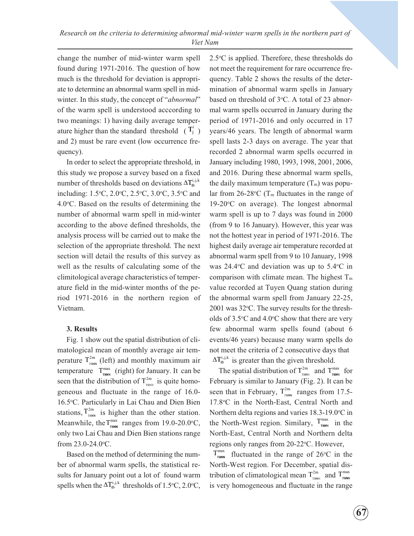change the number of mid-winter warm spell found during 1971-2016. The question of how much is the threshold for deviation is appropriate to determine an abnormal warm spell in midwinter. In this study, the concept of "*abnormal*" of the warm spell is understood acccording to two meanings: 1) having daily average temperature higher than the standard threshold  $(T_j^i)$ and 2) must be rare event (low occurrence frequency).

In order to select the appropriate threshold, in this study we propose a survey based on a fixed number of thresholds based on deviations  $\Delta T_{\text{tb}}^{i,j,k}$ including: 1.5°C, 2.0°C, 2.5°C, 3.0°C, 3.5°C and 4.0 °C. Based on the results of determining the number of abnormal warm spell in mid-winter according to the above defined thresholds, the analysis process will be carried out to make the selection of the appropriate threshold. The next section will detail the results of this survey as well as the results of calculating some of the climitological average characteristics of temperature field in the mid-winter months of the period 1971-2016 in the northern region of Vietnam.

## 3. Results

Fig. 1 show out the spatial distribution of climatological mean of monthly average air temperature  $T^{2m}_{T<sub>BBN</sub>}$  (left) and monthly maximum air temperature  $T_{\text{max}}^{\text{max}}$  (right) for January. It can be seen that the distribution of  $T_{\text{\tiny{TBN}}}^{2m}$  is quite homogeneous and fluctuate in the range of 16.0- 16.5°C. Particularly in Lai Chau and Dien Bien stations,  $T_{\text{max}}^{2m}$  is higher than the other station. Meanwhile, the  $T_{\text{max}}^{\text{max}}$  ranges from 19.0-20.0°C, only two Lai Chau and Dien Bien stations range from  $23.0 - 24.0$ °C.

Based on the method of determining the number of abnormal warm spells, the statistical results for January point out a lot of found warm spells when the  $\Delta T_{\text{tb}}^{i,j,k}$  thresholds of 1.5°C, 2.0°C,

 $2.5^{\circ}$ C is applied. Therefore, these thresholds do not meet the requirement for rare occurrence frequency. Table 2 shows the results of the determination of abnormal warm spells in January based on threshold of 3°C. A total of 23 abnormal warm spells occurred in January during the period of 1971-2016 and only occurred in 17 years/46 years. The length of abnormal warm spell lasts 2-3 days on average. The year that recorded 2 abnormal warm spells occurred in January including 1980, 1993, 1998, 2001, 2006, and 2016. During these abnormal warm spells, the daily maximum temperature  $(T_m)$  was popular from  $26\text{-}28\text{°C}$  (T<sub>m</sub> fluctuates in the range of  $19-20$ °C on average). The longest abnormal warm spell is up to 7 days was found in 2000 (from 9 to 16 January). However, this year was not the hottest year in period of 1971-2016. The highest daily average air temperature recorded at abnormal warm spell from 9 to 10 January, 1998 was  $24.4$ <sup>o</sup>C and deviation was up to  $5.4$ <sup>o</sup>C in comparison with climate mean. The highest  $T_m$ value recorded at Tuyen Quang station during the abnormal warm spell from January 22-25,  $2001$  was  $32^{\circ}$ C. The survey results for the thresholds of  $3.5^{\circ}$ C and  $4.0^{\circ}$ C show that there are very few abnormal warm spells found (about 6 events/46 years) because many warm spells do not meet the criteria of 2 consecutive days that  $\Delta T_{\text{tb}}^{i,j,k}$  is greater than the given threshold. Research on the criteria to determining absormal mid-winter warm spells in the northern part of<br>anneal mid-winter warm spell 2.5°C is applied. Therefore, these thresholds do<br>near that the transform of the criterion of the

The spatial distribution of  $T_{T_{T_{\text{DNN}}}}^{2m}$  and  $T_{T_{\text{DNN}}}^{max}$  for February is similar to January (Fig. 2). It can be seen that in February,  $T_{\text{max}}^{2m}$  ranges from 17.5-17.8 °C in the North-East, Central North and Northern delta regions and varies 18.3-19.0°C in the North-West region. Similary,  $T_{\text{max}}^{\text{max}}$  in the North-East, Central North and Northern delta regions only ranges from 20-22°C. However,

 $T_{\text{max}}^{\text{max}}$  fluctuated in the range of 26°C in the North-West region. For December, spatial distribution of climatological mean  $T^{2m}_{T_{T_{\text{BNN}}}}$  and  $T_{T_{\text{BNN}}}$ is very homogeneous and fluctuate in the range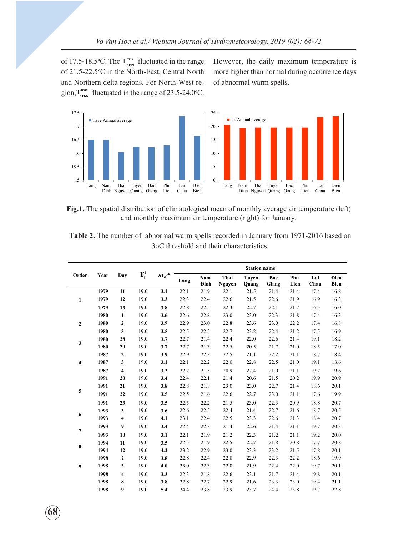gion,  $T_{\text{max}}^{\text{max}}$  fluctuated in the range of 23.5-24.0°C. of 17.5-18.5°C. The  $T_{\text{max}}^{\text{max}}$  fluctuated in the range<br>of 21.5-22.5°C in the North-East, Central North<br>and Northern delta regions. For North-West re-<br>gion,  $T_{\text{max}}^{\text{max}}$  fluctuated in the range of 23.5-24.0°C. of 21.5-22.5°C in the North-East, Central North and Northern delta regions. For North-West reHowever, the daily maximum temperature is more higher than normal during occurrence days of abnormal warm spells.



Fig.1. The spatial distribution of climatological mean of monthly average air temperature (left) and monthly maximum air temperature (right) for January.

Table 2. The number of abnormal warm spells recorded in January from 1971-2016 based on 3oC threshold and their characteristics.

|                | Year | Day                     | $T_j^i$ | $\Delta T_{tb}^{i,j,k}$ | <b>Station name</b> |                    |                |                       |              |             |             |                            |
|----------------|------|-------------------------|---------|-------------------------|---------------------|--------------------|----------------|-----------------------|--------------|-------------|-------------|----------------------------|
| Order          |      |                         |         |                         | Lang                | Nam<br><b>Dinh</b> | Thai<br>Nguyen | <b>Tuyen</b><br>Quang | Bac<br>Giang | Phu<br>Lien | Lai<br>Chau | <b>Dien</b><br><b>Bien</b> |
|                | 1979 | 11                      | 19.0    | 3.1                     | 22.1                | 21.9               | 22.1           | 21.5                  | 21.4         | 21.4        | 17.4        | 16.8                       |
| 1              | 1979 | 12                      | 19.0    | 3.3                     | 22.3                | 22.4               | 22.6           | 21.5                  | 22.6         | 21.9        | 16.9        | 16.3                       |
|                | 1979 | 13                      | 19.0    | 3.8                     | 22.8                | 22.5               | 22.3           | 22.7                  | 22.1         | 21.7        | 16.5        | 16.0                       |
|                | 1980 | $\mathbf{1}$            | 19.0    | 3.6                     | 22.6                | 22.8               | 23.0           | 23.0                  | 22.3         | 21.8        | 17.4        | 16.3                       |
| $\overline{2}$ | 1980 | 2                       | 19.0    | 3.9                     | 22.9                | 23.0               | 22.8           | 23.6                  | 23.0         | 22.2        | 17.4        | 16.8                       |
|                | 1980 | 3                       | 19.0    | 3.5                     | 22.5                | 22.5               | 22.7           | 23.2                  | 22.4         | 21.2        | 17.5        | 16.9                       |
| 3              | 1980 | 28                      | 19.0    | 3.7                     | 22.7                | 21.4               | 22.4           | 22.0                  | 22.6         | 21.4        | 19.1        | 18.2                       |
|                | 1980 | 29                      | 19.0    | 3.7                     | 22.7                | 21.3               | 22.5           | 20.5                  | 21.7         | 21.0        | 18.5        | 17.0                       |
|                | 1987 | $\mathbf{2}$            | 19.0    | 3.9                     | 22.9                | 22.3               | 22.5           | 21.1                  | 22.2         | 21.1        | 18.7        | 18.4                       |
| 4              | 1987 | 3                       | 19.0    | 3.1                     | 22.1                | 22.2               | 22.0           | 22.8                  | 22.5         | 21.0        | 19.1        | 18.6                       |
|                | 1987 | $\overline{\mathbf{4}}$ | 19.0    | 3.2                     | 22.2                | 21.5               | 20.9           | 22.4                  | 21.0         | 21.1        | 19.2        | 19.6                       |
|                | 1991 | 20                      | 19.0    | 3.4                     | 22.4                | 22.1               | 21.4           | 20.6                  | 21.5         | 20.2        | 19.9        | 20.9                       |
| 5              | 1991 | 21                      | 19.0    | 3.8                     | 22.8                | 21.8               | 23.0           | 23.0                  | 22.7         | 21.4        | 18.6        | 20.1                       |
|                | 1991 | 22                      | 19.0    | 3.5                     | 22.5                | 21.6               | 22.6           | 22.7                  | 23.0         | 21.1        | 17.6        | 19.9                       |
|                | 1991 | 23                      | 19.0    | 3.5                     | 22.5                | 22.2               | 21.5           | 23.0                  | 22.3         | 20.9        | 18.8        | 20.7                       |
| 6              | 1993 | 3                       | 19.0    | 3.6                     | 22.6                | 22.5               | 22.4           | 21.4                  | 22.7         | 21.6        | 18.7        | 20.5                       |
|                | 1993 | 4                       | 19.0    | 4.1                     | 23.1                | 22.4               | 22.5           | 23.3                  | 22.6         | 21.3        | 18.4        | 20.7                       |
| 7              | 1993 | $\boldsymbol{9}$        | 19.0    | 3.4                     | 22.4                | 22.3               | 21.4           | 22.6                  | 21.4         | 21.1        | 19.7        | 20.3                       |
|                | 1993 | 10                      | 19.0    | 3.1                     | 22.1                | 21.9               | 21.2           | 22.3                  | 21.2         | 21.1        | 19.2        | 20.0                       |
|                | 1994 | 11                      | 19.0    | 3.5                     | 22.5                | 21.9               | 22.5           | 22.7                  | 21.8         | 20.8        | 17.7        | 20.8                       |
| 8              | 1994 | 12                      | 19.0    | 4.2                     | 23.2                | 22.9               | 23.0           | 23.3                  | 23.2         | 21.5        | 17.8        | 20.1                       |
|                | 1998 | $\mathbf{2}$            | 19.0    | 3.8                     | 22.8                | 22.4               | 22.8           | 22.9                  | 22.3         | 22.2        | 18.6        | 19.9                       |
| 9              | 1998 | 3                       | 19.0    | 4.0                     | 23.0                | 22.3               | 22.0           | 21.9                  | 22.4         | 22.0        | 19.7        | 20.1                       |
|                | 1998 | 4                       | 19.0    | 3.3                     | 22.3                | 21.8               | 22.6           | 23.1                  | 21.7         | 21.4        | 19.8        | 20.1                       |
|                | 1998 | 8                       | 19.0    | 3.8                     | 22.8                | 22.7               | 22.9           | 21.6                  | 23.3         | 23.0        | 19.4        | 21.1                       |
|                | 1998 | 9                       | 19.0    | 5.4                     | 24.4                | 23.8               | 23.9           | 23.7                  | 24.4         | 23.8        | 19.7        | 22.8                       |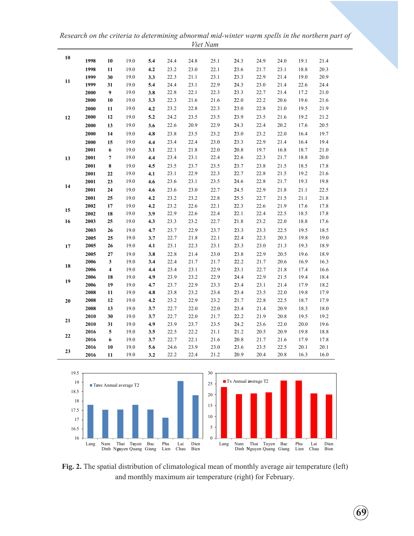Research on the criteria to determining abnormal mid-winter warm spells in the northern part of Viet Nam

| 10         | 1998 | 10             | 19.0 | 5.4 | 24.4 | 24.8 | 25.1 | 24.3 | 24.9 | 24.0 | 19.1 | 21.4 |
|------------|------|----------------|------|-----|------|------|------|------|------|------|------|------|
|            | 1998 | 11             | 19.0 | 4.2 | 23.2 | 23.0 | 22.1 | 23.6 | 21.7 | 23.1 | 18.8 | 20.3 |
|            | 1999 | 30             | 19.0 | 3.3 | 22.3 | 21.1 | 23.1 | 23.3 | 22.9 | 21.4 | 19.0 | 20.9 |
| 11         | 1999 | 31             | 19.0 | 5.4 | 24.4 | 23.1 | 22.9 | 24.3 | 23.0 | 21.4 | 22.6 | 24.4 |
|            | 2000 | 9              | 19.0 | 3.8 | 22.8 | 22.1 | 22.3 | 23.3 | 22.7 | 21.4 | 17.2 | 21.0 |
|            | 2000 | 10             | 19.0 | 3.3 | 22.3 | 21.6 | 21.6 | 22.0 | 22.2 | 20.6 | 19.6 | 21.6 |
|            | 2000 | 11             | 19.0 | 4.2 | 23.2 | 22.8 | 22.3 | 23.0 | 22.8 | 21.0 | 19.5 | 21.9 |
| 12         | 2000 | 12             | 19.0 | 5.2 | 24.2 | 23.5 | 23.5 | 23.9 | 23.5 | 21.6 | 19.2 | 21.2 |
|            | 2000 | 13             | 19.0 | 3.6 | 22.6 | 20.9 | 22.9 | 24.3 | 22.4 | 20.2 | 17.6 | 20.5 |
|            | 2000 | 14             | 19.0 | 4.8 | 23.8 | 23.5 | 23.2 | 23.0 | 23.2 | 22.0 | 16.4 | 19.7 |
|            | 2000 | 15             | 19.0 | 4.4 | 23.4 | 22.4 | 23.0 | 23.3 | 22.9 | 21.4 | 16.4 | 19.4 |
|            | 2001 | 6              | 19.0 | 3.1 | 22.1 | 21.8 | 22.0 | 20.8 | 19.7 | 16.8 | 18.7 | 21.0 |
| 13         | 2001 | $\overline{7}$ | 19.0 | 4.4 | 23.4 | 23.1 | 22.4 | 22.6 | 22.3 | 21.7 | 18.8 | 20.0 |
|            | 2001 | 8              | 19.0 | 4.5 | 23.5 | 23.7 | 23.5 | 23.7 | 23.8 | 21.5 | 18.5 | 17.8 |
|            | 2001 | 22             | 19.0 | 4.1 | 23.1 | 22.9 | 22.3 | 22.7 | 22.8 | 21.5 | 19.2 | 21.6 |
|            | 2001 | 23             | 19.0 | 4.6 | 23.6 | 23.1 | 23.5 | 24.6 | 22.8 | 21.7 | 19.3 | 19.8 |
| 14         | 2001 | 24             | 19.0 | 4.6 | 23.6 | 23.0 | 22.7 | 24.5 | 22.9 | 21.8 | 21.1 | 22.5 |
|            | 2001 | 25             | 19.0 | 4.2 | 23.2 | 23.2 | 22.8 | 25.5 | 22.7 | 21.5 | 21.1 | 21.8 |
|            | 2002 | 17             | 19.0 | 4.2 | 23.2 | 22.6 | 22.1 | 22.3 | 22.6 | 21.9 | 17.6 | 17.8 |
| 15         | 2002 | 18             | 19.0 | 3.9 | 22.9 | 22.6 | 22.4 | 22.1 | 22.4 | 22.5 | 18.5 | 17.8 |
| 16         | 2003 | 25             | 19.0 | 4.3 | 23.3 | 23.2 | 22.7 | 21.8 | 23.2 | 22.0 | 18.8 | 17.6 |
|            | 2003 | 26             | 19.0 | 4.7 | 23.7 | 22.9 | 23.7 | 23.3 | 23.3 | 22.5 | 19.5 | 18.5 |
|            | 2005 | 25             | 19.0 | 3.7 | 22.7 | 21.8 | 22.1 | 22.4 | 22.3 | 20.3 | 19.8 | 19.0 |
| 17         | 2005 | 26             | 19.0 | 4.1 | 23.1 | 22.3 | 23.1 | 23.3 | 23.0 | 21.3 | 19.3 | 18.9 |
|            | 2005 | 27             | 19.0 | 3.8 | 22.8 | 21.4 | 23.0 | 23.8 | 22.9 | 20.5 | 19.6 | 18.9 |
|            | 2006 | 3              | 19.0 | 3.4 | 22.4 | 21.7 | 21.7 | 22.2 | 21.7 | 20.6 | 16.9 | 16.3 |
| ${\bf 18}$ | 2006 | 4              | 19.0 | 4.4 | 23.4 | 23.1 | 22.9 | 23.1 | 22.7 | 21.8 | 17.4 | 16.6 |
| 19         | 2006 | 18             | 19.0 | 4.9 | 23.9 | 23.2 | 22.9 | 24.4 | 22.9 | 21.5 | 19.4 | 18.4 |
|            | 2006 | 19             | 19.0 | 4.7 | 23.7 | 22.9 | 23.3 | 23.4 | 23.1 | 21.4 | 17.9 | 18.2 |
|            | 2008 | 11             | 19.0 | 4.8 | 23.8 | 23.2 | 23.4 | 23.4 | 23.5 | 22.0 | 19.8 | 17.9 |
| 20         | 2008 | 12             | 19.0 | 4.2 | 23.2 | 22.9 | 23.2 | 21.7 | 22.8 | 22.5 | 18.7 | 17.9 |
|            | 2008 | 13             | 19.0 | 3.7 | 22.7 | 22.0 | 22.0 | 23.4 | 21.4 | 20.9 | 18.3 | 18.0 |
| 21         | 2010 | 30             | 19.0 | 3.7 | 22.7 | 22.0 | 21.7 | 22.2 | 21.9 | 20.8 | 19.5 | 19.2 |
|            | 2010 | 31             | 19.0 | 4.9 | 23.9 | 23.7 | 23.5 | 24.2 | 23.6 | 22.0 | 20.0 | 19.6 |
| 22         | 2016 | 5              | 19.0 | 3.5 | 22.5 | 22.2 | 21.1 | 21.2 | 20.5 | 20.9 | 19.8 | 18.8 |
|            | 2016 | 6              | 19.0 | 3.7 | 22.7 | 22.1 | 21.6 | 20.8 | 21.7 | 21.6 | 17.9 | 17.8 |
| 23         | 2016 | 10             | 19.0 | 5.6 | 24.6 | 23.9 | 23.0 | 23.6 | 23.5 | 22.5 | 20.1 | 20.1 |
|            | 2016 | 11             | 19.0 | 3.2 | 22.2 | 22.4 | 21.2 | 20.9 | 20.4 | 20.8 | 16.3 | 16.0 |



Fig. 2. The spatial distribution of climatological mean of monthly average air temperature (left) and monthly maximum air temperature (right) for February.

 $\hat{69}$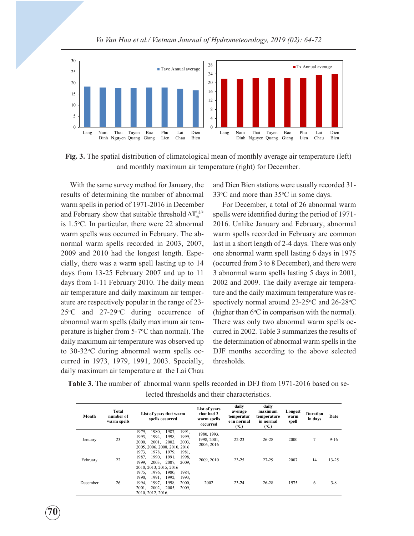

Fig. 3. The spatial distribution of climatological mean of monthly average air temperature (left) and monthly maximum air temperature (right) for December.

With the same survey method for January, the results of determining the number of abnormal warm spells in period of 1971-2016 in December and February show that suitable threshold  $\Delta T_{tb}^{i,j,k}$ is 1.5o C. In particular, there were 22 abnormal warm spells was occurred in February. The abnormal warm spells recorded in 2003, 2007, 2009 and 2010 had the longest length. Especially, there was a warm spell lasting up to 14 days from 13-25 February 2007 and up to 11 days from 1-11 February 2010. The daily mean air temperature and daily maximum air temperature are respectively popular in the range of 23-  $25^{\circ}$ C and  $27{\text -}29^{\circ}$ C during occurrence of abnormal warm spells (daily maximum air temperature is higher from 5-7°C than normal). The daily maximum air temperature was observed up to 30-32°C during abnormal warm spells occurred in 1973, 1979, 1991, 2003. Specially, daily maximum air temperature at the Lai Chau

 $\tilde{7}0$ 

and Dien Bien stations were usually recorded 31-  $33^{\circ}$ C and more than  $35^{\circ}$ C in some days.

For December, a total of 26 abnormal warm spells were identified during the period of 1971- 2016. Unlike January and February, abnormal warm spells recorded in February are common last in a short length of 2-4 days. There was only one abnormal warm spell lasting 6 days in 1975 (occurred from 3 to 8 December), and there were 3 abnormal warm spells lasting 5 days in 2001, 2002 and 2009. The daily average air temperature and the daily maximum temperature was respectively normal around  $23-25^{\circ}$ C and  $26-28^{\circ}$ C (higher than  $6^{\circ}$ C in comparison with the normal). There was only two abnormal warm spells occurred in 2002. Table 3 summarizes the results of the determination of abnormal warm spells in the DJF months according to the above selected thresholds.

Table 3. The number of abnormal warm spells recorded in DFJ from 1971-2016 based on selected thresholds and their characteristics.

| Month    | Total<br>number of<br>warm spells | List of years that warm<br>spells occurred                                                                                                                        | List of years<br>that had 2<br>warm spells<br>occurred | daily<br>average<br>temperatur<br>e in normal<br>$(^{\circ}C)$ | daily<br>maximum<br>temperature<br>in normal<br>$(^{\circ}C)$ | Longest<br>warm<br>spell | Duration<br>in days | Date      |
|----------|-----------------------------------|-------------------------------------------------------------------------------------------------------------------------------------------------------------------|--------------------------------------------------------|----------------------------------------------------------------|---------------------------------------------------------------|--------------------------|---------------------|-----------|
| January  | 23                                | 1980,<br>1987,<br>1991,<br>1979,<br>1999,<br>1993,<br>1994,<br>1998,<br>2000.<br>2001.<br>2002,<br>2003.<br>2005, 2006, 2008, 2010, 2016                          | 1980, 1993,<br>1998, 2001,<br>2006, 2016               | $22 - 23$                                                      | $26 - 28$                                                     | 2000                     | 7                   | $9-16$    |
| February | 22                                | 1978.<br>1979,<br>1973,<br>1981.<br>1998.<br>1987.<br>1990.<br>1991,<br>2003.<br>1999.<br>2007.<br>2009.<br>2010, 2013, 2015, 2016                                | 2009, 2010                                             | $23 - 25$                                                      | 27-29                                                         | 2007                     | 14                  | $13 - 25$ |
| December | 26                                | 1975.<br>1976.<br>1980,<br>1984.<br>1992.<br>1990.<br>1991.<br>1993.<br>1997.<br>1998.<br>2000.<br>1994.<br>2002,<br>2005,<br>2001,<br>2009,<br>2010, 2012, 2016. | 2002                                                   | $23 - 24$                                                      | $26 - 28$                                                     | 1975                     | 6                   | $3 - 8$   |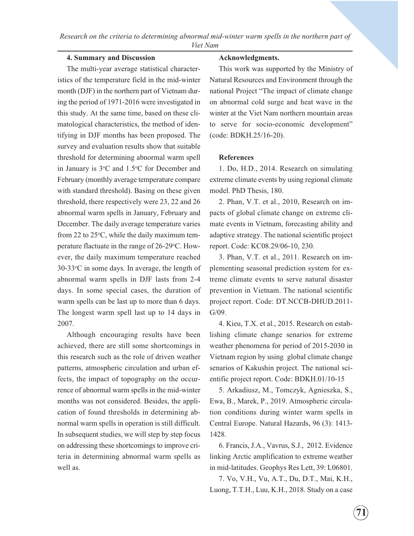## 4. Summary and Discussion

The multi-year average statistical characteristics of the temperature field in the mid-winter month (DJF) in the northern part of Vietnam during the period of 1971-2016 were investigated in this study. At the same time, based on these climatological characteristics, the method of identifying in DJF months has been proposed. The survey and evaluation results show that suitable threshold for determining abnormal warm spell in January is  $3^{\circ}$ C and  $1.5^{\circ}$ C for December and February (monthly average temperature compare with standard threshold). Basing on these given threshold, there respectively were 23, 22 and 26 abnormal warm spells in January, February and December. The daily average temperature varies from 22 to  $25^{\circ}$ C, while the daily maximum temperature flactuate in the range of 26-29°C. However, the daily maximum temperature reached 30-33o C in some days. In average, the length of abnormal warm spells in DJF lasts from 2-4 days. In some special cases, the duration of warm spells can be last up to more than 6 days. The longest warm spell last up to 14 days in 2007.

Although encouraging results have been achieved, there are still some shortcomings in this research such as the role of driven weather patterns, atmospheric circulation and urban effects, the impact of topography on the occurrence of abnormal warm spells in the mid-winter months was not considered. Besides, the application of found thresholds in determining abnormal warm spells in operation is still difficult. In subsequent studies, we will step by step focus on addressing these shortcomings to improve criteria in determining abnormal warm spells as well as.

#### Acknowledgments.

This work was supported by the Ministry of Natural Resources and Environment through the national Project "The impact of climate change on abnormal cold surge and heat wave in the winter at the Viet Nam northern mountain areas to serve for socio-economic development" (code: BDKH.25/16-20).

#### **References**

1. Do, H.D., 2014. Research on simulating extreme climate events by using regional climate model. PhD Thesis, 180.

2. Phan, V.T. et al., 2010, Research on impacts of global climate change on extreme climate events in Vietnam, forecasting ability and adaptive strategy. The national scientific project report. Code: KC08.29/06-10, 230.

3. Phan, V.T. et al., 2011. Research on implementing seasonal prediction system for extreme climate events to serve natural disaster prevention in Vietnam. The national scientific project report. Code: DT.NCCB-DHUD.2011- G/09.

4. Kieu, T.X. et al., 2015. Research on establishing climate change senarios for extreme weather phenomena for period of 2015-2030 in Vietnam region by using global climate change senarios of Kakushin project. The national scientific project report. Code: BDKH.01/10-15

5. Arkadiusz, M., Tomczyk, Agnieszka, S., Ewa, B., Marek, P., 2019. Atmospheric circulation conditions during winter warm spells in Central Europe. Natural Hazards, 96 (3): 1413- 1428.

6. Francis, J.A., Vavrus, S.J., 2012. Evidence linking Arctic amplification to extreme weather in mid-latitudes. Geophys Res Lett, 39: L06801.

7. Vo, V.H., Vu, A.T., Du, D.T., Mai, K.H., Luong, T.T.H., Luu, K.H., 2018. Study on a case